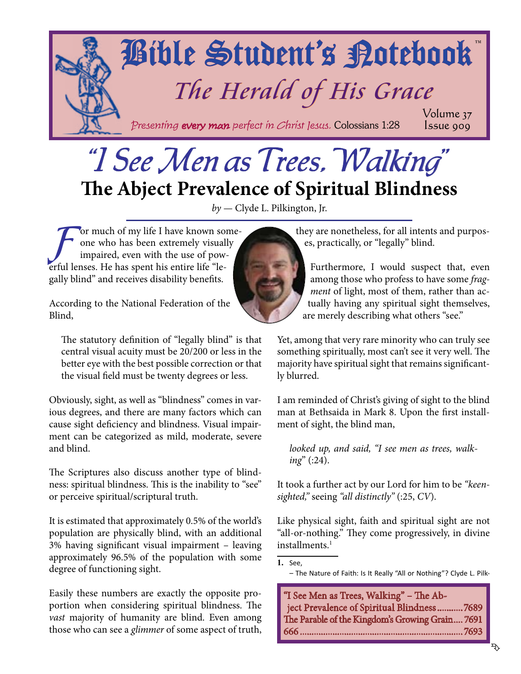<span id="page-0-0"></span>

# "I See Men as Trees, Walking" **The Abject Prevalence of Spiritual Blindness**

*by* — Clyde L. Pilkington, Jr.

For much of my life I have known some-<br>one who has been extremely visually<br>impaired, even with the use of pow-<br>erful lenses. He has spent his entire life "leone who has been extremely visually impaired, even with the use of powerful lenses. He has spent his entire life "legally blind" and receives disability benefits.

According to the National Federation of the Blind,

The statutory definition of "legally blind" is that central visual acuity must be 20/200 or less in the better eye with the best possible correction or that the visual field must be twenty degrees or less.

Obviously, sight, as well as "blindness" comes in various degrees, and there are many factors which can cause sight deficiency and blindness. Visual impairment can be categorized as mild, moderate, severe and blind.

The Scriptures also discuss another type of blindness: spiritual blindness. This is the inability to "see" or perceive spiritual/scriptural truth.

It is estimated that approximately 0.5% of the world's population are physically blind, with an additional 3% having significant visual impairment – leaving approximately 96.5% of the population with some degree of functioning sight.

Easily these numbers are exactly the opposite proportion when considering spiritual blindness. The *vast* majority of humanity are blind. Even among those who can see a *glimmer* of some aspect of truth, they are nonetheless, for all intents and purposes, practically, or "legally" blind.

Furthermore, I would suspect that, even among those who profess to have some *fragment* of light, most of them, rather than actually having any spiritual sight themselves, are merely describing what others "see."

Yet, among that very rare minority who can truly see something spiritually, most can't see it very well. The majority have spiritual sight that remains significantly blurred.

I am reminded of Christ's giving of sight to the blind man at Bethsaida in Mark 8. Upon the first installment of sight, the blind man,

*looked up, and said, "I see men as trees, walking*" (:24).

It took a further act by our Lord for him to be *"keensighted,"* seeing *"all distinctly"* (:25, *CV*).

Like physical sight, faith and spiritual sight are not "all-or-nothing." They come progressively, in divine installments.<sup>1</sup>

**1.** See,

*<sup>–</sup>* The Nature of Faith: Is It Really "All or Nothing"? Clyde L. Pilk-

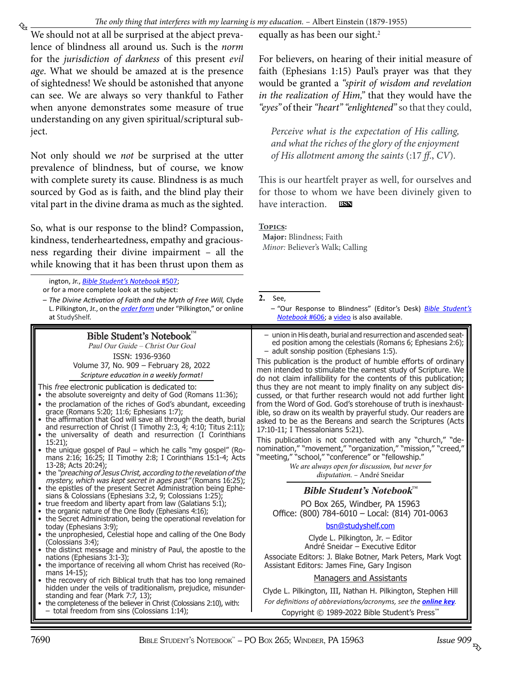### <span id="page-1-0"></span>*The only thing that interferes with my learning is my education.* – Albert Einstein (1879-1955)

We should not at all be surprised at the abject prevalence of blindness all around us. Such is the *norm*  for the *jurisdiction of darkness* of this present *evil age*. What we should be amazed at is the presence of sightedness! We should be astonished that anyone can see. We are always so very thankful to Father when anyone demonstrates some measure of true understanding on any given spiritual/scriptural subject.

Not only should we *not* be surprised at the utter prevalence of blindness, but of course, we know with complete surety its cause. Blindness is as much sourced by God as is faith, and the blind play their vital part in the divine drama as much as the sighted.

So, what is our response to the blind? Compassion, kindness, tenderheartedness, empathy and graciousness regarding their divine impairment – all the while knowing that it has been thrust upon them as

| ington, Jr., Bible Student's Notebook #507;<br>or for a more complete look at the subject:<br>- The Divine Activation of Faith and the Myth of Free Will, Clyde<br>L. Pilkington, Jr., on the <i>order form</i> under "Pilkington," or online<br>at StudyShelf.                                                                                                                                                                                                                                                                                                                                                                                                                                                                                                                                                                                                                                                                                                                                                                                                                                                                                                                                                                                                                                                                                                                                                                                                                                                                                               | 2. See,<br>- "Our Response to Blindness" (Editor's Desk) Bible Student's<br>Notebook #606; a video is also available.                                                                                                                                                                                                                                                                                                                                                                                                                                                                                                                                                                                                                                                                                                                                                                                                                                                                                                           |
|---------------------------------------------------------------------------------------------------------------------------------------------------------------------------------------------------------------------------------------------------------------------------------------------------------------------------------------------------------------------------------------------------------------------------------------------------------------------------------------------------------------------------------------------------------------------------------------------------------------------------------------------------------------------------------------------------------------------------------------------------------------------------------------------------------------------------------------------------------------------------------------------------------------------------------------------------------------------------------------------------------------------------------------------------------------------------------------------------------------------------------------------------------------------------------------------------------------------------------------------------------------------------------------------------------------------------------------------------------------------------------------------------------------------------------------------------------------------------------------------------------------------------------------------------------------|---------------------------------------------------------------------------------------------------------------------------------------------------------------------------------------------------------------------------------------------------------------------------------------------------------------------------------------------------------------------------------------------------------------------------------------------------------------------------------------------------------------------------------------------------------------------------------------------------------------------------------------------------------------------------------------------------------------------------------------------------------------------------------------------------------------------------------------------------------------------------------------------------------------------------------------------------------------------------------------------------------------------------------|
| Bible Student's Notebook™<br>Paul Our Guide – Christ Our Goal<br>ISSN: 1936-9360<br>Volume 37, No. 909 - February 28, 2022<br>Scripture education in a weekly format!<br>This free electronic publication is dedicated to:<br>• the absolute sovereignty and deity of God (Romans 11:36);<br>• the proclamation of the riches of God's abundant, exceeding<br>grace (Romans 5:20; 11:6; Ephesians 1:7);<br>• the affirmation that God will save all through the death, burial<br>and resurrection of Christ (I Timothy 2:3, 4; 4:10; Titus 2:11);<br>• the universality of death and resurrection (I Corinthians<br>$15:21$ :<br>• the unique gospel of Paul – which he calls "my gospel" (Ro-<br>mans 2:16; 16:25; II Timothy 2:8; I Corinthians 15:1-4; Acts<br>13-28; Acts 20:24);<br>• the "preaching of Jesus Christ, according to the revelation of the<br>mystery, which was kept secret in ages past" (Romans 16:25);<br>• the epistles of the present Secret Administration being Ephe-<br>sians & Colossians (Ephesians 3:2, 9; Colossians 1:25);<br>• true freedom and liberty apart from law (Galatians 5:1);<br>• the organic nature of the One Body (Ephesians 4:16);<br>• the Secret Administration, being the operational revelation for<br>today (Ephesians 3:9);<br>• the unprophesied, Celestial hope and calling of the One Body<br>(Colossians 3:4);<br>• the distinct message and ministry of Paul, the apostle to the<br>nations (Ephesians 3:1-3);<br>• the importance of receiving all whom Christ has received (Ro-<br>mans 14-15); | - union in His death, burial and resurrection and ascended seat-<br>ed position among the celestials (Romans 6; Ephesians 2:6);<br>- adult sonship position (Ephesians 1:5).<br>This publication is the product of humble efforts of ordinary<br>men intended to stimulate the earnest study of Scripture. We<br>do not claim infallibility for the contents of this publication;<br>thus they are not meant to imply finality on any subject dis-<br>cussed, or that further research would not add further light<br>from the Word of God. God's storehouse of truth is inexhaust-<br>ible, so draw on its wealth by prayerful study. Our readers are<br>asked to be as the Bereans and search the Scriptures (Acts<br>17:10-11; I Thessalonians 5:21).<br>This publication is not connected with any "church," "de-<br>nomination," "movement," "organization," "mission," "creed,"<br>"meeting," "school," "conference" or "fellowship."<br>We are always open for discussion, but never for<br>disputation. - André Sneidar |
|                                                                                                                                                                                                                                                                                                                                                                                                                                                                                                                                                                                                                                                                                                                                                                                                                                                                                                                                                                                                                                                                                                                                                                                                                                                                                                                                                                                                                                                                                                                                                               | Bible Student's Notebook <sup><math>M</math></sup><br>PO Box 265, Windber, PA 15963<br>Office: (800) 784-6010 - Local: (814) 701-0063<br>bsn@studyshelf.com<br>Clyde L. Pilkington, Jr. - Editor<br>André Sneidar - Executive Editor<br>Associate Editors: J. Blake Botner, Mark Peters, Mark Vogt<br>Assistant Editors: James Fine, Gary Ingison                                                                                                                                                                                                                                                                                                                                                                                                                                                                                                                                                                                                                                                                               |
| • the recovery of rich Biblical truth that has too long remained<br>hidden under the veils of traditionalism, prejudice, misunder-<br>standing and fear (Mark 7:7, 13);<br>• the completeness of the believer in Christ (Colossians 2:10), with:<br>- total freedom from sins (Colossians 1:14);                                                                                                                                                                                                                                                                                                                                                                                                                                                                                                                                                                                                                                                                                                                                                                                                                                                                                                                                                                                                                                                                                                                                                                                                                                                              | <b>Managers and Assistants</b><br>Clyde L. Pilkington, III, Nathan H. Pilkington, Stephen Hill<br>For definitions of abbreviations/acronyms, see the <b>online key</b> .<br>Copyright © 1989-2022 Bible Student's Press <sup>™</sup>                                                                                                                                                                                                                                                                                                                                                                                                                                                                                                                                                                                                                                                                                                                                                                                            |

equally as has been our sight.<sup>2</sup>

For believers, on hearing of their initial measure of faith (Ephesians 1:15) Paul's prayer was that they would be granted a *"spirit of wisdom and revelation in the realization of Him,"* that they would have the *"eyes"* of their *"heart" "enlightened"*so that they could,

*Perceive what is the expectation of His calling, and what the riches of the glory of the enjoyment of His allotment among the saints* (:17 *ff*., *CV*).

This is our heartfelt prayer as well, for ourselves and for those to whom we have been divinely given to have interaction. **bsn**

#### **Topics:**

**Major:** Blindness; Faith *Minor:* Believer's Walk; Calling

Issue 909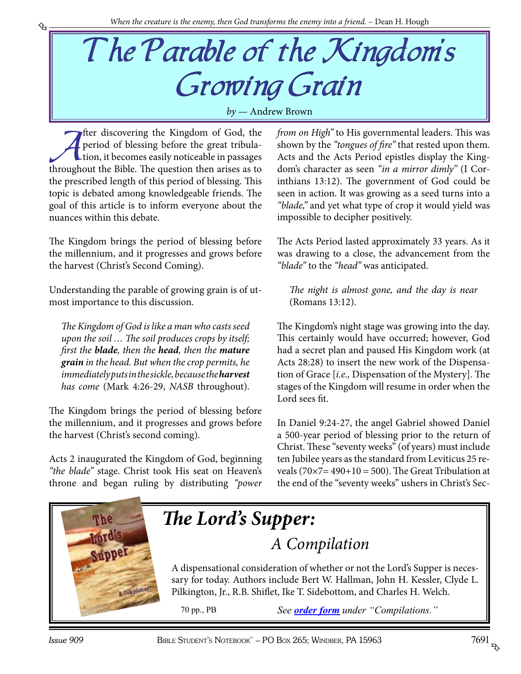<span id="page-2-0"></span>

#### *by* — Andrew Brown

The discovering the Kingdom of God, the period of blessing before the great tribula-<br>tion, it becomes easily noticeable in passages<br>throughout the Bible. The question then arises as to period of blessing before the great tribulation, it becomes easily noticeable in passages throughout the Bible. The question then arises as to the prescribed length of this period of blessing. This topic is debated among knowledgeable friends. The goal of this article is to inform everyone about the nuances within this debate.

The Kingdom brings the period of blessing before the millennium, and it progresses and grows before the harvest (Christ's Second Coming).

Understanding the parable of growing grain is of utmost importance to this discussion.

*The Kingdom of God is like a man who casts seed upon the soil … The soil produces crops by itself; first the blade, then the head, then the mature grain in the head. But when the crop permits, he immediately puts in the sickle, because the harvest has come* (Mark 4:26-29, *NASB* throughout).

The Kingdom brings the period of blessing before the millennium, and it progresses and grows before the harvest (Christ's second coming).

Acts 2 inaugurated the Kingdom of God, beginning *"the blade"* stage. Christ took His seat on Heaven's throne and began ruling by distributing *"power*  *from on High"* to His governmental leaders. This was shown by the *"tongues of fire"* that rested upon them. Acts and the Acts Period epistles display the Kingdom's character as seen *"in a mirror dimly"* (I Corinthians 13:12). The government of God could be seen in action. It was growing as a seed turns into a *"blade,"* and yet what type of crop it would yield was impossible to decipher positively.

The Acts Period lasted approximately 33 years. As it was drawing to a close, the advancement from the *"blade"* to the *"head"* was anticipated.

*The night is almost gone, and the day is near* (Romans 13:12).

The Kingdom's night stage was growing into the day. This certainly would have occurred; however, God had a secret plan and paused His Kingdom work (at Acts 28:28) to insert the new work of the Dispensation of Grace [*i.e.,* Dispensation of the Mystery]. The stages of the Kingdom will resume in order when the Lord sees fit.

In Daniel 9:24-27, the angel Gabriel showed Daniel a 500-year period of blessing prior to the return of Christ. These "seventy weeks" (of years) must include ten Jubilee years as the standard from Leviticus 25 reveals  $(70 \times 7 = 490 + 10 = 500)$ . The Great Tribulation at the end of the "seventy weeks" ushers in Christ's Sec-



## *The Lord's Supper: A Compilation*

A dispensational consideration of whether or not the Lord's Supper is neces[sary for today. Authors include Bert W. Hallman, John H. Kessler, Clyde L.](http://www.studyshelf.com/lordssupper.htm#2916)  Pilkington, Jr., R.B. Shiflet, Ike T. Sidebottom, and Charles H. Welch.

70 pp., PB

*See [order form](http://studyshelf.com/orderform-studyshelf.pdf) under "Compilations."*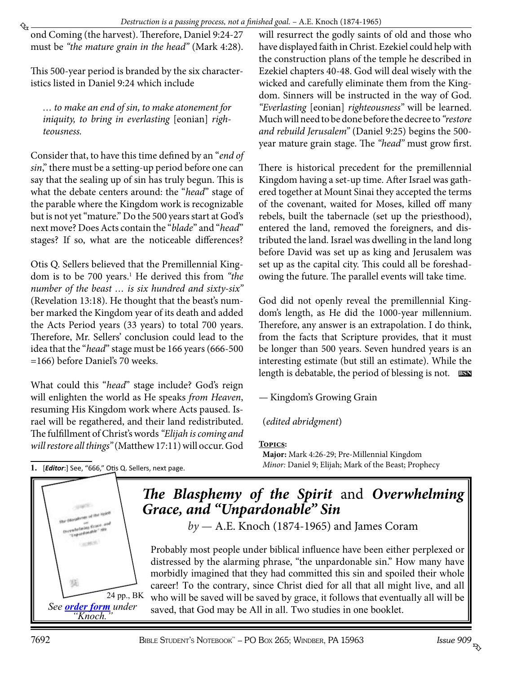<span id="page-3-0"></span>₠ ond Coming (the harvest). Therefore, Daniel 9:24-27 must be *"the mature grain in the head"* (Mark 4:28).

This 500-year period is branded by the six characteristics listed in Daniel 9:24 which include

*… to make an end of sin, to make atonement for iniquity, to bring in everlasting* [eonian] *righteousness.*

Consider that, to have this time defined by an "*end of sin*," there must be a setting-up period before one can say that the sealing up of sin has truly begun. This is what the debate centers around: the "*head*" stage of the parable where the Kingdom work is recognizable but is not yet "mature." Do the 500 years start at God's next move? Does Acts contain the "*blade*" and "*head*" stages? If so, what are the noticeable differences?

Otis Q. Sellers believed that the Premillennial Kingdom is to be 700 years.<sup>1</sup> He derived this from "the *number of the beast … is six hundred and sixty-six"* (Revelation 13:18). He thought that the beast's number marked the Kingdom year of its death and added the Acts Period years (33 years) to total 700 years. Therefore, Mr. Sellers' conclusion could lead to the idea that the "*head*" stage must be 166 years (666-500 =166) before Daniel's 70 weeks.

What could this "*head*" stage include? God's reign will enlighten the world as He speaks *from Heaven*, resuming His Kingdom work where Acts paused. Israel will be regathered, and their land redistributed. The fulfillment of Christ's words *"Elijah is coming and will restore all things"* (Matthew 17:11) will occur. God

will resurrect the godly saints of old and those who have displayed faith in Christ. Ezekiel could help with the construction plans of the temple he described in Ezekiel chapters 40-48. God will deal wisely with the wicked and carefully eliminate them from the Kingdom. Sinners will be instructed in the way of God. *"Everlasting* [eonian] *righteousness"* will be learned. Much will need to be done before the decree to *"restore and rebuild Jerusalem"* (Daniel 9:25) begins the 500 year mature grain stage. The *"head"* must grow first.

There is historical precedent for the premillennial Kingdom having a set-up time. After Israel was gathered together at Mount Sinai they accepted the terms of the covenant, waited for Moses, killed off many rebels, built the tabernacle (set up the priesthood), entered the land, removed the foreigners, and distributed the land. Israel was dwelling in the land long before David was set up as king and Jerusalem was set up as the capital city. This could all be foreshadowing the future. The parallel events will take time.

God did not openly reveal the premillennial Kingdom's length, as He did the 1000-year millennium. Therefore, any answer is an extrapolation. I do think, from the facts that Scripture provides, that it must be longer than 500 years. Seven hundred years is an interesting estimate (but still an estimate). While the length is debatable, the period of blessing is not. **bsn**

— Kingdom's Growing Grain

(*edited abridgment*)

#### **Topics:**

**Major:** Mark 4:26-29; Pre-Millennial Kingdom *Minor:* Daniel 9; Elijah; Mark of the Beast; Prophecy

**1.** [*Editor*:] See, "666," Otis Q. Sellers, next page.



### *The Blasphemy of the Spirit* and *Overwhelming Grace, and "Unpardonable" Sin*

*by* — A.E. Knoch (1874-1965) and James Coram

Probably most people under biblical influence have been either perplexed or distressed by the alarming phrase, "the unpardonable sin." How many have morbidly imagined that they had committed this sin and spoiled their whole [career! To the contrary, since Christ died for all that all might live, and all](http://www.studyshelf.com/knoch.htm#4002)  who will be saved will be saved by grace, it follows that eventually all will be saved, that God may be All in all. Two studies in one booklet.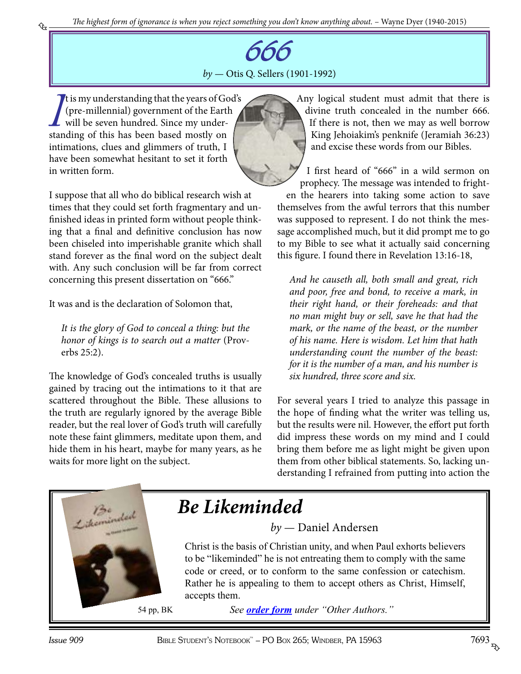

<span id="page-4-0"></span>It is my understanding that the years of Gc (pre-millennial) government of the Earthwell will be seven hundred. Since my understanding of this has been based mostly on It is my understanding that the years of God's (pre-millennial) government of the Earth will be seven hundred. Since my underintimations, clues and glimmers of truth, I have been somewhat hesitant to set it forth in written form.

I suppose that all who do biblical research wish at times that they could set forth fragmentary and unfinished ideas in printed form without people thinking that a final and definitive conclusion has now been chiseled into imperishable granite which shall stand forever as the final word on the subject dealt with. Any such conclusion will be far from correct concerning this present dissertation on "666."

It was and is the declaration of Solomon that,

*It is the glory of God to conceal a thing: but the honor of kings is to search out a matter* (Proverbs 25:2).

The knowledge of God's concealed truths is usually gained by tracing out the intimations to it that are scattered throughout the Bible. These allusions to the truth are regularly ignored by the average Bible reader, but the real lover of God's truth will carefully note these faint glimmers, meditate upon them, and hide them in his heart, maybe for many years, as he waits for more light on the subject.

Any logical student must admit that there is divine truth concealed in the number 666. If there is not, then we may as well borrow King Jehoiakim's penknife (Jeramiah 36:23) and excise these words from our Bibles.

I first heard of "666" in a wild sermon on prophecy. The message was intended to frighten the hearers into taking some action to save themselves from the awful terrors that this number was supposed to represent. I do not think the message accomplished much, but it did prompt me to go to my Bible to see what it actually said concerning this figure. I found there in Revelation 13:16-18,

*And he causeth all, both small and great, rich and poor, free and bond, to receive a mark, in their right hand, or their foreheads: and that no man might buy or sell, save he that had the mark, or the name of the beast, or the number of his name. Here is wisdom. Let him that hath understanding count the number of the beast: for it is the number of a man, and his number is six hundred, three score and six.*

For several years I tried to analyze this passage in the hope of finding what the writer was telling us, but the results were nil. However, the effort put forth did impress these words on my mind and I could bring them before me as light might be given upon them from other biblical statements. So, lacking understanding I refrained from putting into action the



## *Be Likeminded*

*by* — Daniel Andersen

Christ is the basis of Christian unity, and when Paul exhorts believers to be "likeminded" he is not entreating them to comply with the same [code or creed, or to conform to the same confession or catechism.](http://www.studyshelf.com/church.htm#1046)  Rather he is appealing to them to accept others as Christ, Himself, accepts them.

54 pp, BK *See [order form](http://studyshelf.com/orderform-studyshelf.pdf) under "Other Authors."*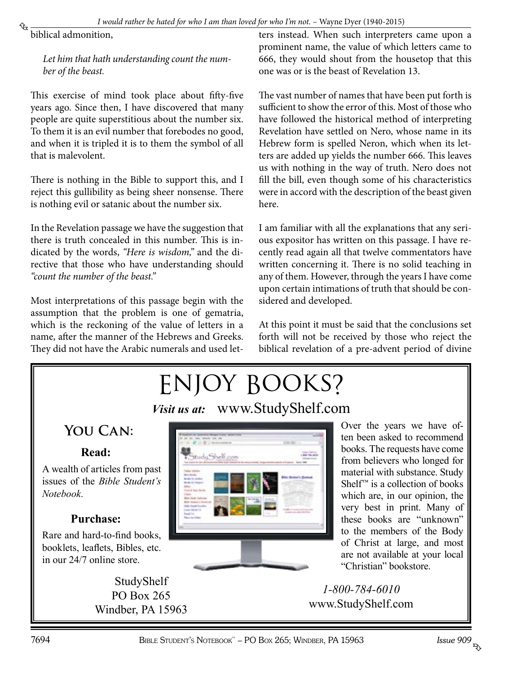<span id="page-5-0"></span>biblical admonition,

*Let him that hath understanding count the number of the beast.*

This exercise of mind took place about fifty-five years ago. Since then, I have discovered that many people are quite superstitious about the number six. To them it is an evil number that forebodes no good, and when it is tripled it is to them the symbol of all that is malevolent.

There is nothing in the Bible to support this, and I reject this gullibility as being sheer nonsense. There is nothing evil or satanic about the number six.

In the Revelation passage we have the suggestion that there is truth concealed in this number. This is indicated by the words, *"Here is wisdom,"* and the directive that those who have understanding should *"count the number of the beast."*

Most interpretations of this passage begin with the assumption that the problem is one of gematria, which is the reckoning of the value of letters in a name, after the manner of the Hebrews and Greeks. They did not have the Arabic numerals and used letters instead. When such interpreters came upon a prominent name, the value of which letters came to 666, they would shout from the housetop that this one was or is the beast of Revelation 13.

The vast number of names that have been put forth is sufficient to show the error of this. Most of those who have followed the historical method of interpreting Revelation have settled on Nero, whose name in its Hebrew form is spelled Neron, which when its letters are added up yields the number 666. This leaves us with nothing in the way of truth. Nero does not fill the bill, even though some of his characteristics were in accord with the description of the beast given here.

I am familiar with all the explanations that any serious expositor has written on this passage. I have recently read again all that twelve commentators have written concerning it. There is no solid teaching in any of them. However, through the years I have come upon certain intimations of truth that should be considered and developed.

At this point it must be said that the conclusions set forth will not be received by those who reject the biblical revelation of a pre-advent period of divine

## *Visit us at:* www.StudyShelf.com [Enjoy Books](http://www.studyshelf.com/)?

### **You Can:**

### **Read:**

A wealth of articles from past issues of the *Bible Student's Notebook.*

### **Purchase:**

Rare and hard-to-find books, booklets, leaflets, Bibles, etc. in our 24/7 online store.

> StudyShelf PO Box 265 Windber, PA 15963



Over the years we have often been asked to recommend books. The requests have come from believers who longed for material with substance. Study Shelf™ is a collection of books which are, in our opinion, the very best in print. Many of these books are "unknown" to the members of the Body of Christ at large, and most are not available at your local "Christian" bookstore.

### *1-800-784-6010* www.StudyShelf.com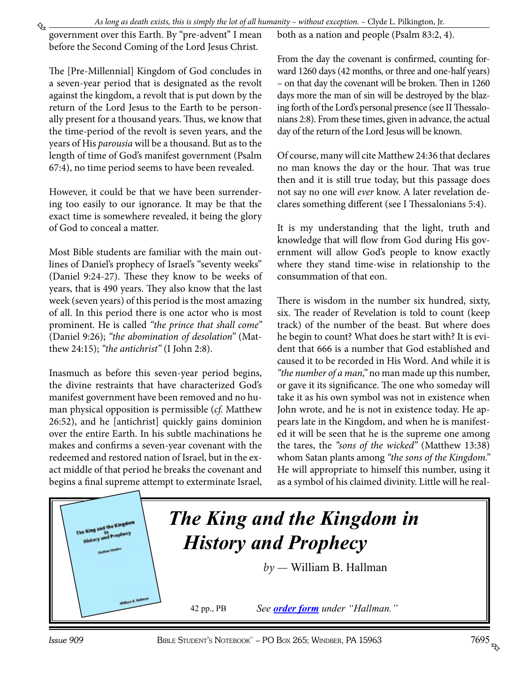<span id="page-6-0"></span>↬ government over this Earth. By "pre-advent" I mean before the Second Coming of the Lord Jesus Christ.

The [Pre-Millennial] Kingdom of God concludes in a seven-year period that is designated as the revolt against the kingdom, a revolt that is put down by the return of the Lord Jesus to the Earth to be personally present for a thousand years. Thus, we know that the time-period of the revolt is seven years, and the years of His *parousia* will be a thousand. But as to the length of time of God's manifest government (Psalm 67:4), no time period seems to have been revealed.

However, it could be that we have been surrendering too easily to our ignorance. It may be that the exact time is somewhere revealed, it being the glory of God to conceal a matter.

Most Bible students are familiar with the main outlines of Daniel's prophecy of Israel's "seventy weeks" (Daniel 9:24-27). These they know to be weeks of years, that is 490 years. They also know that the last week (seven years) of this period is the most amazing of all. In this period there is one actor who is most prominent. He is called *"the prince that shall come"* (Daniel 9:26); *"the abomination of desolation"* (Matthew 24:15); *"the antichrist"* (I John 2:8).

Inasmuch as before this seven-year period begins, the divine restraints that have characterized God's manifest government have been removed and no human physical opposition is permissible (*cf.* Matthew 26:52), and he [antichrist] quickly gains dominion over the entire Earth. In his subtle machinations he makes and confirms a seven-year covenant with the redeemed and restored nation of Israel, but in the exact middle of that period he breaks the covenant and begins a final supreme attempt to exterminate Israel, both as a nation and people (Psalm 83:2, 4).

From the day the covenant is confirmed, counting forward 1260 days (42 months, or three and one-half years) – on that day the covenant will be broken. Then in 1260 days more the man of sin will be destroyed by the blazing forth of the Lord's personal presence (see II Thessalonians 2:8). From these times, given in advance, the actual day of the return of the Lord Jesus will be known.

Of course, many will cite Matthew 24:36 that declares no man knows the day or the hour. That was true then and it is still true today, but this passage does not say no one will *ever* know. A later revelation declares something different (see I Thessalonians 5:4).

It is my understanding that the light, truth and knowledge that will flow from God during His government will allow God's people to know exactly where they stand time-wise in relationship to the consummation of that eon.

There is wisdom in the number six hundred, sixty, six. The reader of Revelation is told to count (keep track) of the number of the beast. But where does he begin to count? What does he start with? It is evident that 666 is a number that God established and caused it to be recorded in His Word. And while it is *"the number of a man,"* no man made up this number, or gave it its significance. The one who someday will take it as his own symbol was not in existence when John wrote, and he is not in existence today. He appears late in the Kingdom, and when he is manifested it will be seen that he is the supreme one among the tares, the *"sons of the wicked"* (Matthew 13:38) whom Satan plants among *"the sons of the Kingdom."* He will appropriate to himself this number, using it as a symbol of his claimed divinity. Little will he real-